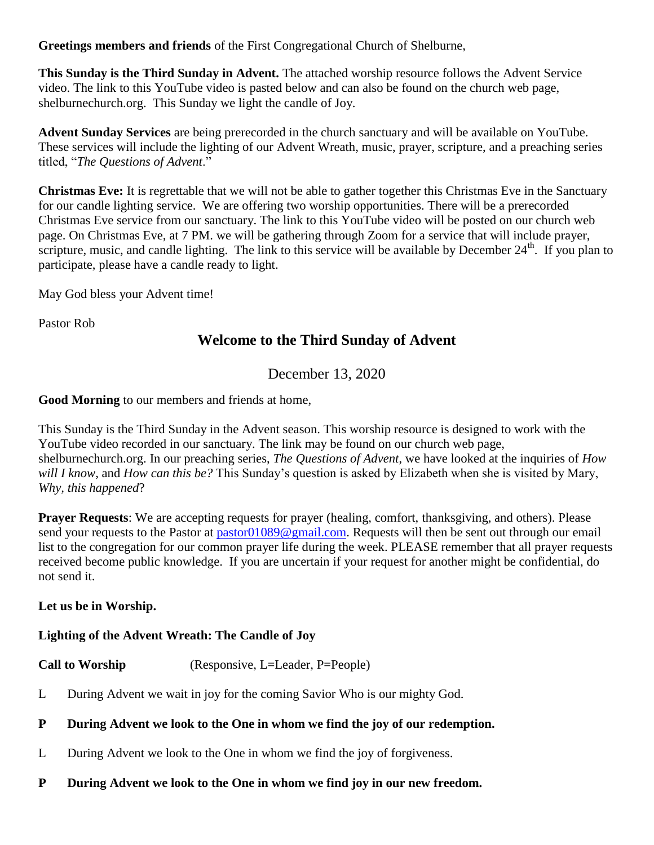**Greetings members and friends** of the First Congregational Church of Shelburne,

**This Sunday is the Third Sunday in Advent.** The attached worship resource follows the Advent Service video. The link to this YouTube video is pasted below and can also be found on the church web page, shelburnechurch.org. This Sunday we light the candle of Joy.

**Advent Sunday Services** are being prerecorded in the church sanctuary and will be available on YouTube. These services will include the lighting of our Advent Wreath, music, prayer, scripture, and a preaching series titled, "*The Questions of Advent*."

**Christmas Eve:** It is regrettable that we will not be able to gather together this Christmas Eve in the Sanctuary for our candle lighting service. We are offering two worship opportunities. There will be a prerecorded Christmas Eve service from our sanctuary. The link to this YouTube video will be posted on our church web page. On Christmas Eve, at 7 PM. we will be gathering through Zoom for a service that will include prayer, scripture, music, and candle lighting. The link to this service will be available by December  $24<sup>th</sup>$ . If you plan to participate, please have a candle ready to light.

May God bless your Advent time!

Pastor Rob

# **Welcome to the Third Sunday of Advent**

December 13, 2020

**Good Morning** to our members and friends at home,

This Sunday is the Third Sunday in the Advent season. This worship resource is designed to work with the YouTube video recorded in our sanctuary. The link may be found on our church web page, shelburnechurch.org. In our preaching series, *The Questions of Advent*, we have looked at the inquiries of *How will I know*, and *How can this be?* This Sunday's question is asked by Elizabeth when she is visited by Mary, *Why, this happened*?

**Prayer Requests:** We are accepting requests for prayer (healing, comfort, thanksgiving, and others). Please send your requests to the Pastor at [pastor01089@gmail.com.](mailto:pastor01089@gmail.com) Requests will then be sent out through our email list to the congregation for our common prayer life during the week. PLEASE remember that all prayer requests received become public knowledge. If you are uncertain if your request for another might be confidential, do not send it.

**Let us be in Worship.**

# **Lighting of the Advent Wreath: The Candle of Joy**

**Call to Worship** (Responsive, L=Leader, P=People)

L During Advent we wait in joy for the coming Savior Who is our mighty God.

# **P During Advent we look to the One in whom we find the joy of our redemption.**

- L During Advent we look to the One in whom we find the joy of forgiveness.
- **P During Advent we look to the One in whom we find joy in our new freedom.**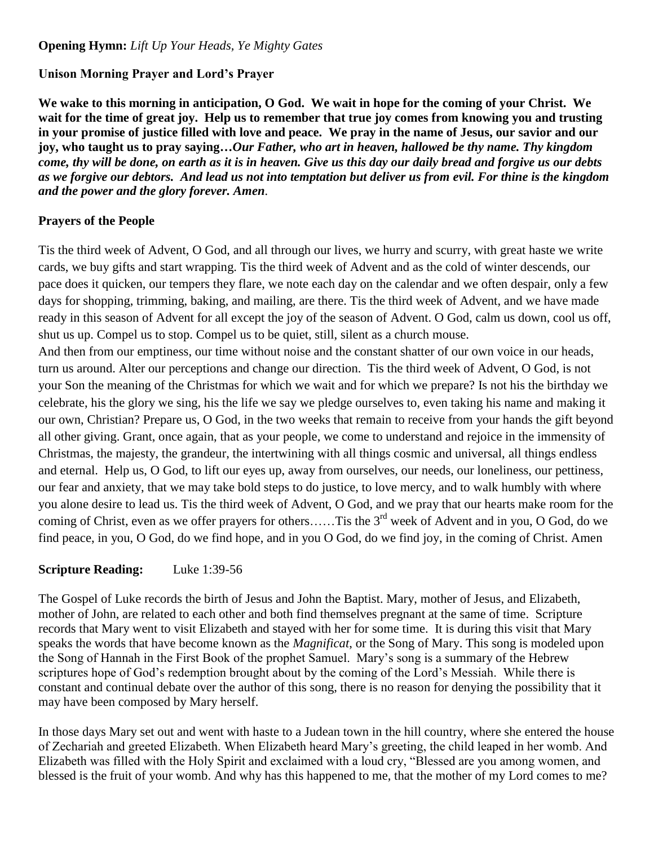#### **Opening Hymn:** *Lift Up Your Heads, Ye Mighty Gates*

## **Unison Morning Prayer and Lord's Prayer**

**We wake to this morning in anticipation, O God. We wait in hope for the coming of your Christ. We wait for the time of great joy. Help us to remember that true joy comes from knowing you and trusting in your promise of justice filled with love and peace. We pray in the name of Jesus, our savior and our joy, who taught us to pray saying…***Our Father, who art in heaven, hallowed be thy name. Thy kingdom come, thy will be done, on earth as it is in heaven. Give us this day our daily bread and forgive us our debts as we forgive our debtors. And lead us not into temptation but deliver us from evil. For thine is the kingdom and the power and the glory forever. Amen.*

## **Prayers of the People**

Tis the third week of Advent, O God, and all through our lives, we hurry and scurry, with great haste we write cards, we buy gifts and start wrapping. Tis the third week of Advent and as the cold of winter descends, our pace does it quicken, our tempers they flare, we note each day on the calendar and we often despair, only a few days for shopping, trimming, baking, and mailing, are there. Tis the third week of Advent, and we have made ready in this season of Advent for all except the joy of the season of Advent. O God, calm us down, cool us off, shut us up. Compel us to stop. Compel us to be quiet, still, silent as a church mouse.

And then from our emptiness, our time without noise and the constant shatter of our own voice in our heads, turn us around. Alter our perceptions and change our direction. Tis the third week of Advent, O God, is not your Son the meaning of the Christmas for which we wait and for which we prepare? Is not his the birthday we celebrate, his the glory we sing, his the life we say we pledge ourselves to, even taking his name and making it our own, Christian? Prepare us, O God, in the two weeks that remain to receive from your hands the gift beyond all other giving. Grant, once again, that as your people, we come to understand and rejoice in the immensity of Christmas, the majesty, the grandeur, the intertwining with all things cosmic and universal, all things endless and eternal. Help us, O God, to lift our eyes up, away from ourselves, our needs, our loneliness, our pettiness, our fear and anxiety, that we may take bold steps to do justice, to love mercy, and to walk humbly with where you alone desire to lead us. Tis the third week of Advent, O God, and we pray that our hearts make room for the coming of Christ, even as we offer prayers for others……Tis the  $3<sup>rd</sup>$  week of Advent and in you, O God, do we find peace, in you, O God, do we find hope, and in you O God, do we find joy, in the coming of Christ. Amen

## **Scripture Reading:** Luke 1:39-56

The Gospel of Luke records the birth of Jesus and John the Baptist. Mary, mother of Jesus, and Elizabeth, mother of John, are related to each other and both find themselves pregnant at the same of time. Scripture records that Mary went to visit Elizabeth and stayed with her for some time. It is during this visit that Mary speaks the words that have become known as the *Magnificat*, or the Song of Mary. This song is modeled upon the Song of Hannah in the First Book of the prophet Samuel. Mary's song is a summary of the Hebrew scriptures hope of God's redemption brought about by the coming of the Lord's Messiah. While there is constant and continual debate over the author of this song, there is no reason for denying the possibility that it may have been composed by Mary herself.

In those days Mary set out and went with haste to a Judean town in the hill country, where she entered the house of Zechariah and greeted Elizabeth. When Elizabeth heard Mary's greeting, the child leaped in her womb. And Elizabeth was filled with the Holy Spirit and exclaimed with a loud cry, "Blessed are you among women, and blessed is the fruit of your womb. And why has this happened to me, that the mother of my Lord comes to me?